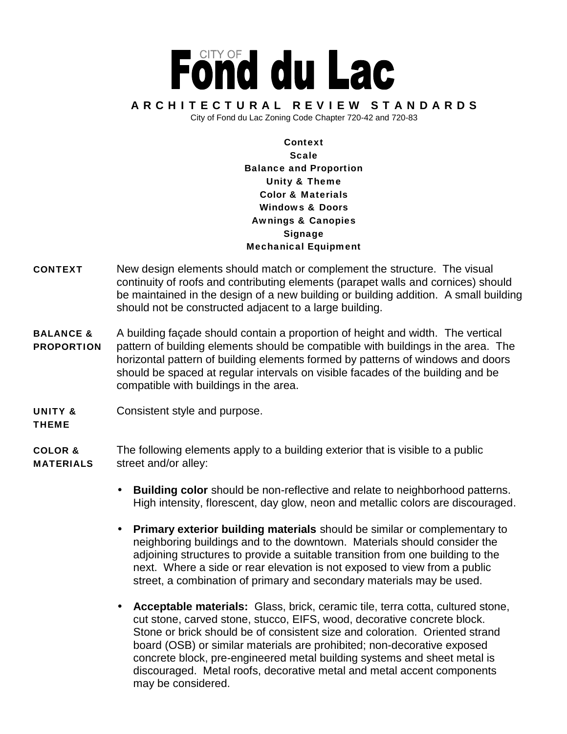## Fönd du Lac ARCHITECTURAL REVIEW STANDARDS City of Fond du Lac Zoning Code Chapter 720-42 and 720-83

**Context Scale Balance and Proportion**

## **Unity & Theme Color & Materials Windows & Doors Awnings & Canopies Signage**

**Mechanical Equipment**

- **CONTEXT** New design elements should match or complement the structure. The visual continuity of roofs and contributing elements (parapet walls and cornices) should be maintained in the design of a new building or building addition. A small building should not be constructed adjacent to a large building.
- **BALANCE &** A building façade should contain a proportion of height and width. The vertical **PROPORTION** pattern of building elements should be compatible with buildings in the area. The horizontal pattern of building elements formed by patterns of windows and doors should be spaced at regular intervals on visible facades of the building and be compatible with buildings in the area.
- **UNITY &** Consistent style and purpose.
- **THEME**

**COLOR &** The following elements apply to a building exterior that is visible to a public **MATERIALS** street and/or alley:

- **Building color** should be non-reflective and relate to neighborhood patterns. High intensity, florescent, day glow, neon and metallic colors are discouraged.
- **Primary exterior building materials** should be similar or complementary to neighboring buildings and to the downtown. Materials should consider the adjoining structures to provide a suitable transition from one building to the next. Where a side or rear elevation is not exposed to view from a public street, a combination of primary and secondary materials may be used.
- **Acceptable materials:** Glass, brick, ceramic tile, terra cotta, cultured stone, cut stone, carved stone, stucco, EIFS, wood, decorative concrete block. Stone or brick should be of consistent size and coloration. Oriented strand board (OSB) or similar materials are prohibited; non-decorative exposed concrete block, pre-engineered metal building systems and sheet metal is discouraged. Metal roofs, decorative metal and metal accent components may be considered.